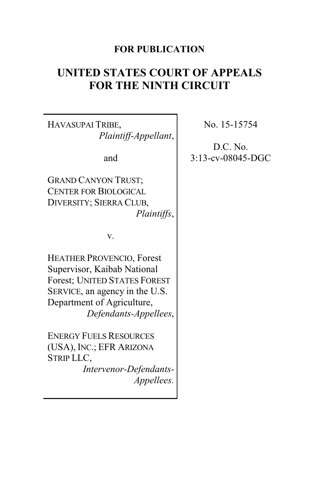## **FOR PUBLICATION**

# **UNITED STATES COURT OF APPEALS FOR THE NINTH CIRCUIT**

HAVASUPAI TRIBE, *Plaintiff-Appellant*,

and

GRAND CANYON TRUST; CENTER FOR BIOLOGICAL DIVERSITY; SIERRA CLUB, *Plaintiffs*,

v.

HEATHER PROVENCIO, Forest Supervisor, Kaibab National Forest; UNITED STATES FOREST SERVICE, an agency in the U.S. Department of Agriculture, *Defendants-Appellees*,

ENERGY FUELS RESOURCES (USA), INC.; EFR ARIZONA STRIP LLC, *Intervenor-Defendants-Appellees.* No. 15-15754

D.C. No. 3:13-cv-08045-DGC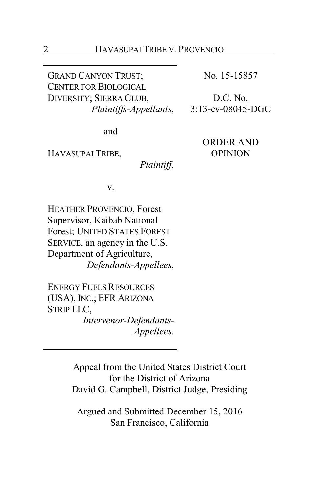GRAND CANYON TRUST; CENTER FOR BIOLOGICAL DIVERSITY; SIERRA CLUB, *Plaintiffs-Appellants*,

and

HAVASUPAI TRIBE,

*Plaintiff*,

v.

HEATHER PROVENCIO, Forest Supervisor, Kaibab National Forest; UNITED STATES FOREST SERVICE, an agency in the U.S. Department of Agriculture, *Defendants-Appellees*,

ENERGY FUELS RESOURCES (USA), INC.; EFR ARIZONA STRIP LLC, *Intervenor-Defendants-*

*Appellees.*

No. 15-15857

D.C. No. 3:13-cv-08045-DGC

> ORDER AND OPINION

Appeal from the United States District Court for the District of Arizona David G. Campbell, District Judge, Presiding

Argued and Submitted December 15, 2016 San Francisco, California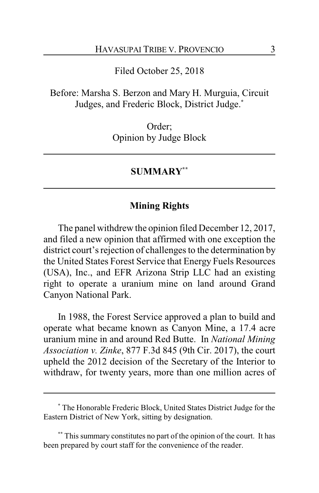Filed October 25, 2018

Before: Marsha S. Berzon and Mary H. Murguia, Circuit Judges, and Frederic Block, District Judge.**\***

> Order; Opinion by Judge Block

#### **SUMMARY\*\***

## **Mining Rights**

The panel withdrew the opinion filed December 12, 2017, and filed a new opinion that affirmed with one exception the district court's rejection of challenges to the determination by the United States Forest Service that Energy Fuels Resources (USA), Inc., and EFR Arizona Strip LLC had an existing right to operate a uranium mine on land around Grand Canyon National Park.

In 1988, the Forest Service approved a plan to build and operate what became known as Canyon Mine, a 17.4 acre uranium mine in and around Red Butte. In *National Mining Association v. Zinke*, 877 F.3d 845 (9th Cir. 2017), the court upheld the 2012 decision of the Secretary of the Interior to withdraw, for twenty years, more than one million acres of

**<sup>\*</sup>** The Honorable Frederic Block, United States District Judge for the Eastern District of New York, sitting by designation.

**<sup>\*\*</sup>** This summary constitutes no part of the opinion of the court. It has been prepared by court staff for the convenience of the reader.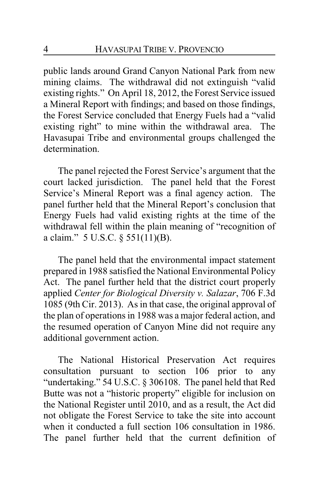public lands around Grand Canyon National Park from new mining claims. The withdrawal did not extinguish "valid existing rights." On April 18, 2012, the Forest Service issued a Mineral Report with findings; and based on those findings, the Forest Service concluded that Energy Fuels had a "valid existing right" to mine within the withdrawal area. The Havasupai Tribe and environmental groups challenged the determination.

The panel rejected the Forest Service's argument that the court lacked jurisdiction. The panel held that the Forest Service's Mineral Report was a final agency action. The panel further held that the Mineral Report's conclusion that Energy Fuels had valid existing rights at the time of the withdrawal fell within the plain meaning of "recognition of a claim." 5 U.S.C. § 551(11)(B).

The panel held that the environmental impact statement prepared in 1988 satisfied the National Environmental Policy Act. The panel further held that the district court properly applied *Center for Biological Diversity v. Salazar*, 706 F.3d 1085 (9th Cir. 2013). As in that case, the original approval of the plan of operations in 1988 was a major federal action, and the resumed operation of Canyon Mine did not require any additional government action.

The National Historical Preservation Act requires consultation pursuant to section 106 prior to any "undertaking." 54 U.S.C. § 306108. The panel held that Red Butte was not a "historic property" eligible for inclusion on the National Register until 2010, and as a result, the Act did not obligate the Forest Service to take the site into account when it conducted a full section 106 consultation in 1986. The panel further held that the current definition of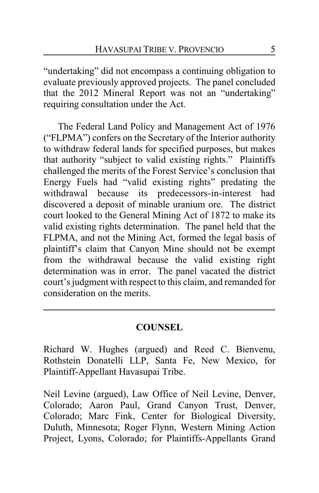"undertaking" did not encompass a continuing obligation to evaluate previously approved projects. The panel concluded that the 2012 Mineral Report was not an "undertaking" requiring consultation under the Act.

The Federal Land Policy and Management Act of 1976 ("FLPMA") confers on the Secretary of the Interior authority to withdraw federal lands for specified purposes, but makes that authority "subject to valid existing rights." Plaintiffs challenged the merits of the Forest Service's conclusion that Energy Fuels had "valid existing rights" predating the withdrawal because its predecessors-in-interest had discovered a deposit of minable uranium ore. The district court looked to the General Mining Act of 1872 to make its valid existing rights determination. The panel held that the FLPMA, and not the Mining Act, formed the legal basis of plaintiff's claim that Canyon Mine should not be exempt from the withdrawal because the valid existing right determination was in error. The panel vacated the district court's judgment with respect to this claim, and remanded for consideration on the merits.

## **COUNSEL**

Richard W. Hughes (argued) and Reed C. Bienvenu, Rothstein Donatelli LLP, Santa Fe, New Mexico, for Plaintiff-Appellant Havasupai Tribe.

Neil Levine (argued), Law Office of Neil Levine, Denver, Colorado; Aaron Paul, Grand Canyon Trust, Denver, Colorado; Marc Fink, Center for Biological Diversity, Duluth, Minnesota; Roger Flynn, Western Mining Action Project, Lyons, Colorado; for Plaintiffs-Appellants Grand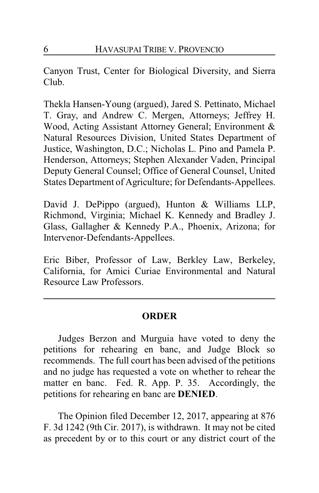Canyon Trust, Center for Biological Diversity, and Sierra Club.

Thekla Hansen-Young (argued), Jared S. Pettinato, Michael T. Gray, and Andrew C. Mergen, Attorneys; Jeffrey H. Wood, Acting Assistant Attorney General; Environment & Natural Resources Division, United States Department of Justice, Washington, D.C.; Nicholas L. Pino and Pamela P. Henderson, Attorneys; Stephen Alexander Vaden, Principal Deputy General Counsel; Office of General Counsel, United States Department of Agriculture; for Defendants-Appellees.

David J. DePippo (argued), Hunton & Williams LLP, Richmond, Virginia; Michael K. Kennedy and Bradley J. Glass, Gallagher & Kennedy P.A., Phoenix, Arizona; for Intervenor-Defendants-Appellees.

Eric Biber, Professor of Law, Berkley Law, Berkeley, California, for Amici Curiae Environmental and Natural Resource Law Professors.

# **ORDER**

Judges Berzon and Murguia have voted to deny the petitions for rehearing en banc, and Judge Block so recommends. The full court has been advised of the petitions and no judge has requested a vote on whether to rehear the matter en banc. Fed. R. App. P. 35. Accordingly, the petitions for rehearing en banc are **DENIED**.

The Opinion filed December 12, 2017, appearing at 876 F. 3d 1242 (9th Cir. 2017), is withdrawn. It may not be cited as precedent by or to this court or any district court of the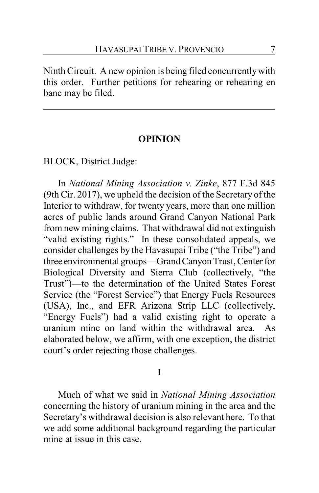Ninth Circuit. A new opinion is being filed concurrentlywith this order. Further petitions for rehearing or rehearing en banc may be filed.

#### **OPINION**

BLOCK, District Judge:

In *National Mining Association v. Zinke*, 877 F.3d 845 (9th Cir. 2017), we upheld the decision of the Secretary of the Interior to withdraw, for twenty years, more than one million acres of public lands around Grand Canyon National Park from new mining claims. That withdrawal did not extinguish "valid existing rights." In these consolidated appeals, we consider challenges by the Havasupai Tribe ("the Tribe") and three environmental groups—Grand Canyon Trust, Center for Biological Diversity and Sierra Club (collectively, "the Trust")—to the determination of the United States Forest Service (the "Forest Service") that Energy Fuels Resources (USA), Inc., and EFR Arizona Strip LLC (collectively, "Energy Fuels") had a valid existing right to operate a uranium mine on land within the withdrawal area. As elaborated below, we affirm, with one exception, the district court's order rejecting those challenges.

### **I**

Much of what we said in *National Mining Association* concerning the history of uranium mining in the area and the Secretary's withdrawal decision is also relevant here. To that we add some additional background regarding the particular mine at issue in this case.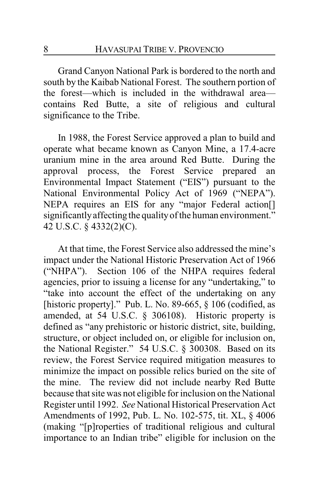Grand Canyon National Park is bordered to the north and south by the Kaibab National Forest. The southern portion of the forest—which is included in the withdrawal area contains Red Butte, a site of religious and cultural significance to the Tribe.

In 1988, the Forest Service approved a plan to build and operate what became known as Canyon Mine, a 17.4-acre uranium mine in the area around Red Butte. During the approval process, the Forest Service prepared an Environmental Impact Statement ("EIS") pursuant to the National Environmental Policy Act of 1969 ("NEPA"). NEPA requires an EIS for any "major Federal action[] significantlyaffecting the qualityof the human environment." 42 U.S.C. § 4332(2)(C).

At that time, the Forest Service also addressed the mine's impact under the National Historic Preservation Act of 1966 ("NHPA"). Section 106 of the NHPA requires federal agencies, prior to issuing a license for any "undertaking," to "take into account the effect of the undertaking on any [historic property]." Pub. L. No. 89-665, § 106 (codified, as amended, at 54 U.S.C. § 306108). Historic property is defined as "any prehistoric or historic district, site, building, structure, or object included on, or eligible for inclusion on, the National Register." 54 U.S.C. § 300308. Based on its review, the Forest Service required mitigation measures to minimize the impact on possible relics buried on the site of the mine. The review did not include nearby Red Butte because that site was not eligible for inclusion on the National Register until 1992. *See* National Historical Preservation Act Amendments of 1992, Pub. L. No. 102-575, tit. XL, § 4006 (making "[p]roperties of traditional religious and cultural importance to an Indian tribe" eligible for inclusion on the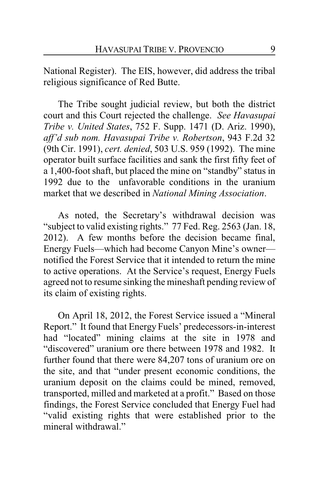National Register). The EIS, however, did address the tribal religious significance of Red Butte.

The Tribe sought judicial review, but both the district court and this Court rejected the challenge. *See Havasupai Tribe v. United States*, 752 F. Supp. 1471 (D. Ariz. 1990), *aff'd sub nom. Havasupai Tribe v. Robertson*, 943 F.2d 32 (9th Cir. 1991), *cert. denied*, 503 U.S. 959 (1992). The mine operator built surface facilities and sank the first fifty feet of a 1,400-foot shaft, but placed the mine on "standby" status in 1992 due to the unfavorable conditions in the uranium market that we described in *National Mining Association*.

As noted, the Secretary's withdrawal decision was "subject to valid existing rights." 77 Fed. Reg. 2563 (Jan. 18, 2012). A few months before the decision became final, Energy Fuels—which had become Canyon Mine's owner notified the Forest Service that it intended to return the mine to active operations. At the Service's request, Energy Fuels agreed not to resume sinking the mineshaft pending review of its claim of existing rights.

On April 18, 2012, the Forest Service issued a "Mineral Report." It found that Energy Fuels' predecessors-in-interest had "located" mining claims at the site in 1978 and "discovered" uranium ore there between 1978 and 1982. It further found that there were 84,207 tons of uranium ore on the site, and that "under present economic conditions, the uranium deposit on the claims could be mined, removed, transported, milled and marketed at a profit." Based on those findings, the Forest Service concluded that Energy Fuel had "valid existing rights that were established prior to the mineral withdrawal."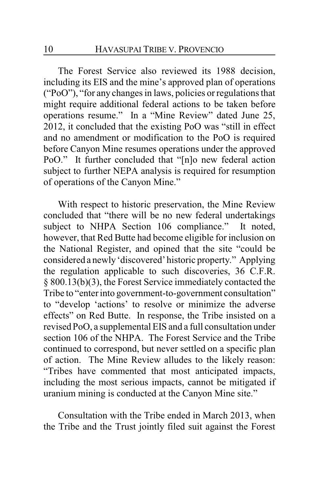The Forest Service also reviewed its 1988 decision, including its EIS and the mine's approved plan of operations ("PoO"), "for any changes in laws, policies or regulations that might require additional federal actions to be taken before operations resume." In a "Mine Review" dated June 25, 2012, it concluded that the existing PoO was "still in effect and no amendment or modification to the PoO is required before Canyon Mine resumes operations under the approved PoO." It further concluded that "[n]o new federal action subject to further NEPA analysis is required for resumption of operations of the Canyon Mine."

With respect to historic preservation, the Mine Review concluded that "there will be no new federal undertakings subject to NHPA Section 106 compliance." It noted, however, that Red Butte had become eligible for inclusion on the National Register, and opined that the site "could be considered a newly'discovered' historic property." Applying the regulation applicable to such discoveries, 36 C.F.R. § 800.13(b)(3), the Forest Service immediately contacted the Tribe to "enter into government-to-government consultation" to "develop 'actions' to resolve or minimize the adverse effects" on Red Butte. In response, the Tribe insisted on a revised PoO, a supplemental EIS and a full consultation under section 106 of the NHPA. The Forest Service and the Tribe continued to correspond, but never settled on a specific plan of action. The Mine Review alludes to the likely reason: "Tribes have commented that most anticipated impacts, including the most serious impacts, cannot be mitigated if uranium mining is conducted at the Canyon Mine site."

Consultation with the Tribe ended in March 2013, when the Tribe and the Trust jointly filed suit against the Forest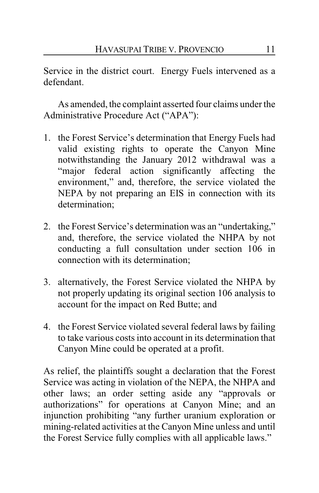Service in the district court. Energy Fuels intervened as a defendant.

As amended, the complaint asserted four claims under the Administrative Procedure Act ("APA"):

- 1. the Forest Service's determination that Energy Fuels had valid existing rights to operate the Canyon Mine notwithstanding the January 2012 withdrawal was a "major federal action significantly affecting the environment," and, therefore, the service violated the NEPA by not preparing an EIS in connection with its determination;
- 2. the Forest Service's determination was an "undertaking," and, therefore, the service violated the NHPA by not conducting a full consultation under section 106 in connection with its determination;
- 3. alternatively, the Forest Service violated the NHPA by not properly updating its original section 106 analysis to account for the impact on Red Butte; and
- 4. the Forest Service violated several federal laws by failing to take various costs into account in its determination that Canyon Mine could be operated at a profit.

As relief, the plaintiffs sought a declaration that the Forest Service was acting in violation of the NEPA, the NHPA and other laws; an order setting aside any "approvals or authorizations" for operations at Canyon Mine; and an injunction prohibiting "any further uranium exploration or mining-related activities at the Canyon Mine unless and until the Forest Service fully complies with all applicable laws."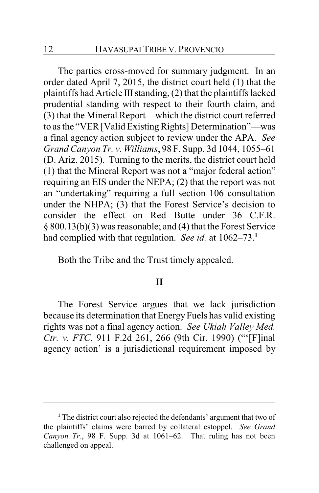The parties cross-moved for summary judgment. In an order dated April 7, 2015, the district court held (1) that the plaintiffs had Article III standing, (2) that the plaintiffs lacked prudential standing with respect to their fourth claim, and (3) that the Mineral Report—which the district court referred to as the "VER [Valid Existing Rights] Determination"—was a final agency action subject to review under the APA. *See Grand Canyon Tr. v. Williams*, 98 F. Supp. 3d 1044, 1055–61 (D. Ariz. 2015). Turning to the merits, the district court held (1) that the Mineral Report was not a "major federal action" requiring an EIS under the NEPA; (2) that the report was not an "undertaking" requiring a full section 106 consultation under the NHPA; (3) that the Forest Service's decision to consider the effect on Red Butte under 36 C.F.R. § 800.13(b)(3) was reasonable; and (4) that the Forest Service had complied with that regulation. *See id.* at 1062–73.**<sup>1</sup>**

Both the Tribe and the Trust timely appealed.

#### **II**

The Forest Service argues that we lack jurisdiction because its determination that Energy Fuels has valid existing rights was not a final agency action. *See Ukiah Valley Med. Ctr. v. FTC*, 911 F.2d 261, 266 (9th Cir. 1990) ("'[F]inal agency action' is a jurisdictional requirement imposed by

**<sup>1</sup>** The district court also rejected the defendants' argument that two of the plaintiffs' claims were barred by collateral estoppel. *See Grand Canyon Tr.*, 98 F. Supp. 3d at 1061–62. That ruling has not been challenged on appeal.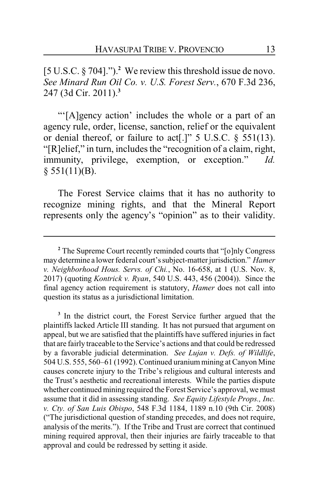[5 U.S.C. § 704].").**<sup>2</sup>** We review this threshold issue de novo. *See Minard Run Oil Co. v. U.S. Forest Serv.*, 670 F.3d 236, 247 (3d Cir. 2011).**<sup>3</sup>**

"'[A]gency action' includes the whole or a part of an agency rule, order, license, sanction, relief or the equivalent or denial thereof, or failure to act[.]" 5 U.S.C. § 551(13). "[R]elief," in turn, includes the "recognition of a claim, right, immunity, privilege, exemption, or exception." *Id.*  $§ 551(11)(B).$ 

The Forest Service claims that it has no authority to recognize mining rights, and that the Mineral Report represents only the agency's "opinion" as to their validity.

<sup>3</sup> In the district court, the Forest Service further argued that the plaintiffs lacked Article III standing. It has not pursued that argument on appeal, but we are satisfied that the plaintiffs have suffered injuries in fact that are fairly traceable to the Service's actions and that could be redressed by a favorable judicial determination. *See Lujan v. Defs. of Wildlife*, 504 U.S. 555, 560–61 (1992). Continued uranium mining at Canyon Mine causes concrete injury to the Tribe's religious and cultural interests and the Trust's aesthetic and recreational interests. While the parties dispute whether continued mining required the Forest Service's approval, we must assume that it did in assessing standing. *See Equity Lifestyle Props., Inc. v. Cty. of San Luis Obispo*, 548 F.3d 1184, 1189 n.10 (9th Cir. 2008) ("The jurisdictional question of standing precedes, and does not require, analysis of the merits."). If the Tribe and Trust are correct that continued mining required approval, then their injuries are fairly traceable to that approval and could be redressed by setting it aside.

<sup>&</sup>lt;sup>2</sup> The Supreme Court recently reminded courts that "[o]nly Congress may determine a lower federal court's subject-matter jurisdiction." *Hamer v. Neighborhood Hous. Servs. of Chi.*, No. 16-658, at 1 (U.S. Nov. 8, 2017) (quoting *Kontrick v. Ryan*, 540 U.S. 443, 456 (2004)). Since the final agency action requirement is statutory, *Hamer* does not call into question its status as a jurisdictional limitation.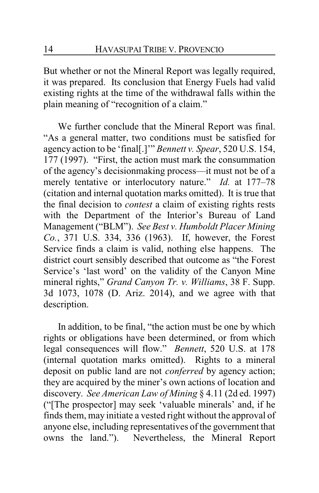But whether or not the Mineral Report was legally required, it was prepared. Its conclusion that Energy Fuels had valid existing rights at the time of the withdrawal falls within the plain meaning of "recognition of a claim."

We further conclude that the Mineral Report was final. "As a general matter, two conditions must be satisfied for agency action to be 'final[.]'" *Bennett v. Spear*, 520 U.S. 154, 177 (1997). "First, the action must mark the consummation of the agency's decisionmaking process—it must not be of a merely tentative or interlocutory nature." *Id.* at 177–78 (citation and internal quotation marks omitted). It is true that the final decision to *contest* a claim of existing rights rests with the Department of the Interior's Bureau of Land Management ("BLM"). *See Best v. Humboldt Placer Mining Co.*, 371 U.S. 334, 336 (1963). If, however, the Forest Service finds a claim is valid, nothing else happens. The district court sensibly described that outcome as "the Forest Service's 'last word' on the validity of the Canyon Mine mineral rights," *Grand Canyon Tr. v. Williams*, 38 F. Supp. 3d 1073, 1078 (D. Ariz. 2014), and we agree with that description.

In addition, to be final, "the action must be one by which rights or obligations have been determined, or from which legal consequences will flow." *Bennett*, 520 U.S. at 178 (internal quotation marks omitted). Rights to a mineral deposit on public land are not *conferred* by agency action; they are acquired by the miner's own actions of location and discovery. *See American Law of Mining* § 4.11 (2d ed. 1997) ("[The prospector] may seek 'valuable minerals' and, if he finds them, may initiate a vested right without the approval of anyone else, including representatives of the government that owns the land."). Nevertheless, the Mineral Report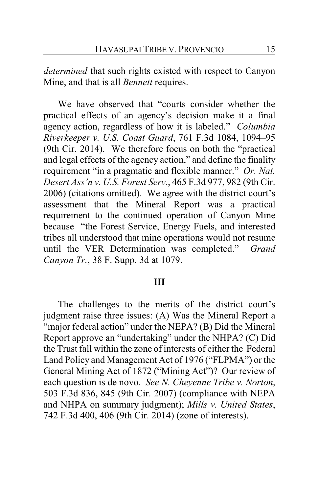*determined* that such rights existed with respect to Canyon Mine, and that is all *Bennett* requires.

We have observed that "courts consider whether the practical effects of an agency's decision make it a final agency action, regardless of how it is labeled." *Columbia Riverkeeper v. U.S. Coast Guard*, 761 F.3d 1084, 1094–95 (9th Cir. 2014). We therefore focus on both the "practical and legal effects of the agency action," and define the finality requirement "in a pragmatic and flexible manner." *Or. Nat. Desert Ass'n v. U.S. Forest Serv.*, 465 F.3d 977, 982 (9th Cir. 2006) (citations omitted). We agree with the district court's assessment that the Mineral Report was a practical requirement to the continued operation of Canyon Mine because "the Forest Service, Energy Fuels, and interested tribes all understood that mine operations would not resume until the VER Determination was completed." *Grand Canyon Tr.*, 38 F. Supp. 3d at 1079.

#### **III**

The challenges to the merits of the district court's judgment raise three issues: (A) Was the Mineral Report a "major federal action" under the NEPA? (B) Did the Mineral Report approve an "undertaking" under the NHPA? (C) Did the Trust fall within the zone of interests of either the Federal Land Policy and Management Act of 1976 ("FLPMA") or the General Mining Act of 1872 ("Mining Act")? Our review of each question is de novo. *See N. Cheyenne Tribe v. Norton*, 503 F.3d 836, 845 (9th Cir. 2007) (compliance with NEPA and NHPA on summary judgment); *Mills v. United States*, 742 F.3d 400, 406 (9th Cir. 2014) (zone of interests).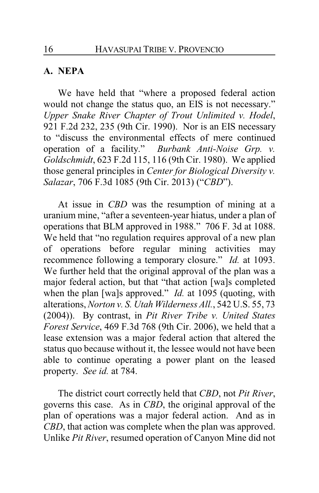## **A. NEPA**

We have held that "where a proposed federal action would not change the status quo, an EIS is not necessary." *Upper Snake River Chapter of Trout Unlimited v. Hodel*, 921 F.2d 232, 235 (9th Cir. 1990). Nor is an EIS necessary to "discuss the environmental effects of mere continued operation of a facility." *Burbank Anti-Noise Grp. v. Goldschmidt*, 623 F.2d 115, 116 (9th Cir. 1980). We applied those general principles in *Center for Biological Diversity v. Salazar*, 706 F.3d 1085 (9th Cir. 2013) ("*CBD*").

At issue in *CBD* was the resumption of mining at a uranium mine, "after a seventeen-year hiatus, under a plan of operations that BLM approved in 1988." 706 F. 3d at 1088. We held that "no regulation requires approval of a new plan of operations before regular mining activities may recommence following a temporary closure." *Id.* at 1093. We further held that the original approval of the plan was a major federal action, but that "that action [wa]s completed when the plan [wa]s approved." *Id.* at 1095 (quoting, with alterations, *Norton v. S. Utah Wilderness All.*, 542 U.S. 55, 73 (2004)). By contrast, in *Pit River Tribe v. United States Forest Service*, 469 F.3d 768 (9th Cir. 2006), we held that a lease extension was a major federal action that altered the status quo because without it, the lessee would not have been able to continue operating a power plant on the leased property. *See id.* at 784.

The district court correctly held that *CBD*, not *Pit River*, governs this case. As in *CBD*, the original approval of the plan of operations was a major federal action. And as in *CBD*, that action was complete when the plan was approved. Unlike *Pit River*, resumed operation of Canyon Mine did not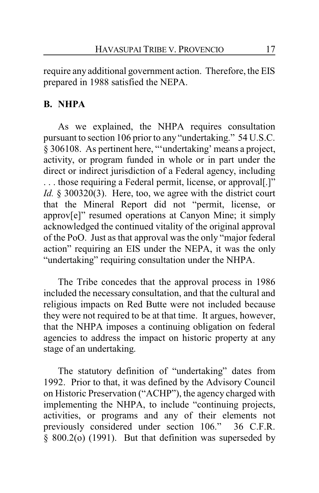require any additional government action. Therefore, the EIS prepared in 1988 satisfied the NEPA.

# **B. NHPA**

As we explained, the NHPA requires consultation pursuant to section 106 prior to any "undertaking." 54 U.S.C. § 306108. As pertinent here, "'undertaking' means a project, activity, or program funded in whole or in part under the direct or indirect jurisdiction of a Federal agency, including . . . those requiring a Federal permit, license, or approval[.]" *Id.* § 300320(3). Here, too, we agree with the district court that the Mineral Report did not "permit, license, or approv[e]" resumed operations at Canyon Mine; it simply acknowledged the continued vitality of the original approval of the PoO. Just as that approval was the only "major federal action" requiring an EIS under the NEPA, it was the only "undertaking" requiring consultation under the NHPA.

The Tribe concedes that the approval process in 1986 included the necessary consultation, and that the cultural and religious impacts on Red Butte were not included because they were not required to be at that time. It argues, however, that the NHPA imposes a continuing obligation on federal agencies to address the impact on historic property at any stage of an undertaking.

The statutory definition of "undertaking" dates from 1992. Prior to that, it was defined by the Advisory Council on Historic Preservation ("ACHP"), the agency charged with implementing the NHPA, to include "continuing projects, activities, or programs and any of their elements not previously considered under section 106." 36 C.F.R. § 800.2(o) (1991). But that definition was superseded by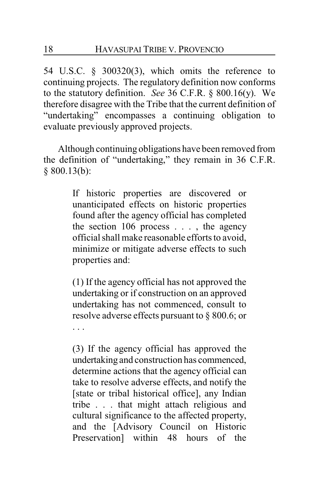54 U.S.C. § 300320(3), which omits the reference to continuing projects. The regulatory definition now conforms to the statutory definition. *See* 36 C.F.R. § 800.16(y). We therefore disagree with the Tribe that the current definition of "undertaking" encompasses a continuing obligation to evaluate previously approved projects.

Although continuing obligations have been removed from the definition of "undertaking," they remain in 36 C.F.R. § 800.13(b):

> If historic properties are discovered or unanticipated effects on historic properties found after the agency official has completed the section 106 process . . . , the agency official shall make reasonable efforts to avoid, minimize or mitigate adverse effects to such properties and:

> (1) If the agency official has not approved the undertaking or if construction on an approved undertaking has not commenced, consult to resolve adverse effects pursuant to § 800.6; or . . .

> (3) If the agency official has approved the undertaking and construction has commenced, determine actions that the agency official can take to resolve adverse effects, and notify the [state or tribal historical office], any Indian tribe . . . that might attach religious and cultural significance to the affected property, and the [Advisory Council on Historic Preservation] within 48 hours of the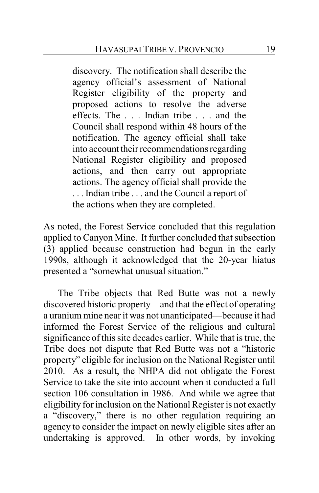discovery. The notification shall describe the agency official's assessment of National Register eligibility of the property and proposed actions to resolve the adverse effects. The . . . Indian tribe . . . and the Council shall respond within 48 hours of the notification. The agency official shall take into account their recommendations regarding National Register eligibility and proposed actions, and then carry out appropriate actions. The agency official shall provide the . . . Indian tribe . . . and the Council a report of the actions when they are completed.

As noted, the Forest Service concluded that this regulation applied to Canyon Mine. It further concluded that subsection (3) applied because construction had begun in the early 1990s, although it acknowledged that the 20-year hiatus presented a "somewhat unusual situation."

The Tribe objects that Red Butte was not a newly discovered historic property—and that the effect of operating a uranium mine near it was not unanticipated—because it had informed the Forest Service of the religious and cultural significance of this site decades earlier. While that is true, the Tribe does not dispute that Red Butte was not a "historic property" eligible for inclusion on the National Register until 2010. As a result, the NHPA did not obligate the Forest Service to take the site into account when it conducted a full section 106 consultation in 1986. And while we agree that eligibility for inclusion on the National Register is not exactly a "discovery," there is no other regulation requiring an agency to consider the impact on newly eligible sites after an undertaking is approved. In other words, by invoking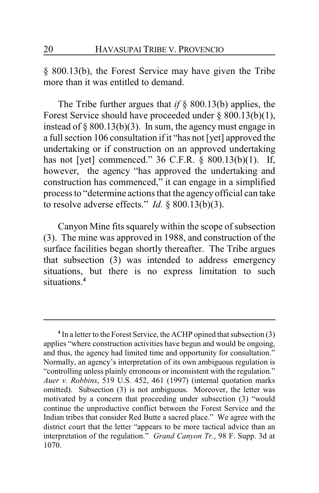§ 800.13(b), the Forest Service may have given the Tribe more than it was entitled to demand.

The Tribe further argues that *if* § 800.13(b) applies, the Forest Service should have proceeded under § 800.13(b)(1), instead of  $\S 800.13(b)(3)$ . In sum, the agency must engage in a full section 106 consultation if it "has not [yet] approved the undertaking or if construction on an approved undertaking has not [yet] commenced." 36 C.F.R. § 800.13(b)(1). If, however, the agency "has approved the undertaking and construction has commenced," it can engage in a simplified process to "determine actions that the agency official can take to resolve adverse effects." *Id.* § 800.13(b)(3).

Canyon Mine fits squarely within the scope of subsection (3). The mine was approved in 1988, and construction of the surface facilities began shortly thereafter. The Tribe argues that subsection (3) was intended to address emergency situations, but there is no express limitation to such situations.**<sup>4</sup>**

**<sup>4</sup>** In a letter to the Forest Service, the ACHP opined that subsection (3) applies "where construction activities have begun and would be ongoing, and thus, the agency had limited time and opportunity for consultation." Normally, an agency's interpretation of its own ambiguous regulation is "controlling unless plainly erroneous or inconsistent with the regulation." *Auer v. Robbins*, 519 U.S. 452, 461 (1997) (internal quotation marks omitted). Subsection (3) is not ambiguous. Moreover, the letter was motivated by a concern that proceeding under subsection (3) "would continue the unproductive conflict between the Forest Service and the Indian tribes that consider Red Butte a sacred place." We agree with the district court that the letter "appears to be more tactical advice than an interpretation of the regulation." *Grand Canyon Tr.*, 98 F. Supp. 3d at 1070.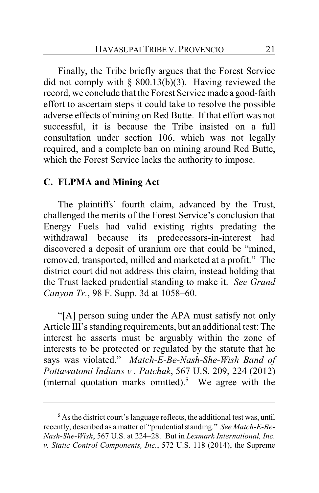Finally, the Tribe briefly argues that the Forest Service did not comply with  $\S$  800.13(b)(3). Having reviewed the record, we conclude that the Forest Service made a good-faith effort to ascertain steps it could take to resolve the possible adverse effects of mining on Red Butte. If that effort was not successful, it is because the Tribe insisted on a full consultation under section 106, which was not legally required, and a complete ban on mining around Red Butte, which the Forest Service lacks the authority to impose.

## **C. FLPMA and Mining Act**

The plaintiffs' fourth claim, advanced by the Trust, challenged the merits of the Forest Service's conclusion that Energy Fuels had valid existing rights predating the withdrawal because its predecessors-in-interest had discovered a deposit of uranium ore that could be "mined, removed, transported, milled and marketed at a profit." The district court did not address this claim, instead holding that the Trust lacked prudential standing to make it. *See Grand Canyon Tr.*, 98 F. Supp. 3d at 1058–60.

"[A] person suing under the APA must satisfy not only Article III's standing requirements, but an additional test: The interest he asserts must be arguably within the zone of interests to be protected or regulated by the statute that he says was violated." *Match-E-Be-Nash-She-Wish Band of Pottawatomi Indians v . Patchak*, 567 U.S. 209, 224 (2012) (internal quotation marks omitted).**<sup>5</sup>** We agree with the

**<sup>5</sup>** As the district court's language reflects, the additional test was, until recently, described as a matter of "prudential standing." *See Match-E-Be-Nash-She-Wish*, 567 U.S. at 224–28. But in *Lexmark International, Inc. v. Static Control Components, Inc.*, 572 U.S. 118 (2014), the Supreme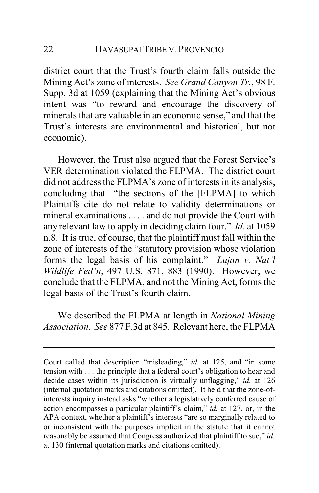district court that the Trust's fourth claim falls outside the Mining Act's zone of interests. *See Grand Canyon Tr.*, 98 F. Supp. 3d at 1059 (explaining that the Mining Act's obvious intent was "to reward and encourage the discovery of minerals that are valuable in an economic sense," and that the Trust's interests are environmental and historical, but not economic).

However, the Trust also argued that the Forest Service's VER determination violated the FLPMA. The district court did not address the FLPMA's zone of interests in its analysis, concluding that "the sections of the [FLPMA] to which Plaintiffs cite do not relate to validity determinations or mineral examinations . . . . and do not provide the Court with any relevant law to apply in deciding claim four." *Id.* at 1059 n.8. It is true, of course, that the plaintiff must fall within the zone of interests of the "statutory provision whose violation forms the legal basis of his complaint." *Lujan v. Nat'l Wildlife Fed'n*, 497 U.S. 871, 883 (1990). However, we conclude that the FLPMA, and not the Mining Act, forms the legal basis of the Trust's fourth claim.

We described the FLPMA at length in *National Mining Association*. *See* 877 F.3d at 845. Relevant here, the FLPMA

Court called that description "misleading," *id.* at 125, and "in some tension with . . . the principle that a federal court's obligation to hear and decide cases within its jurisdiction is virtually unflagging," *id.* at 126 (internal quotation marks and citations omitted). It held that the zone-ofinterests inquiry instead asks "whether a legislatively conferred cause of action encompasses a particular plaintiff's claim," *id.* at 127, or, in the APA context, whether a plaintiff's interests "are so marginally related to or inconsistent with the purposes implicit in the statute that it cannot reasonably be assumed that Congress authorized that plaintiff to sue," *id.* at 130 (internal quotation marks and citations omitted).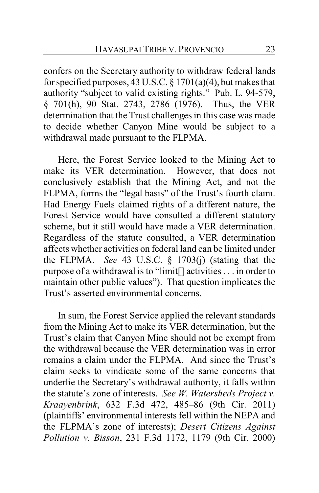confers on the Secretary authority to withdraw federal lands for specified purposes, 43 U.S.C.  $\S 1701(a)(4)$ , but makes that authority "subject to valid existing rights." Pub. L. 94-579, § 701(h), 90 Stat. 2743, 2786 (1976). Thus, the VER determination that the Trust challenges in this case was made to decide whether Canyon Mine would be subject to a withdrawal made pursuant to the FLPMA.

Here, the Forest Service looked to the Mining Act to make its VER determination. However, that does not conclusively establish that the Mining Act, and not the FLPMA, forms the "legal basis" of the Trust's fourth claim. Had Energy Fuels claimed rights of a different nature, the Forest Service would have consulted a different statutory scheme, but it still would have made a VER determination. Regardless of the statute consulted, a VER determination affects whether activities on federal land can be limited under the FLPMA. *See* 43 U.S.C. § 1703(j) (stating that the purpose of a withdrawal is to "limit[] activities . . . in order to maintain other public values"). That question implicates the Trust's asserted environmental concerns.

In sum, the Forest Service applied the relevant standards from the Mining Act to make its VER determination, but the Trust's claim that Canyon Mine should not be exempt from the withdrawal because the VER determination was in error remains a claim under the FLPMA. And since the Trust's claim seeks to vindicate some of the same concerns that underlie the Secretary's withdrawal authority, it falls within the statute's zone of interests. *See W. Watersheds Project v. Kraayenbrink*, 632 F.3d 472, 485–86 (9th Cir. 2011) (plaintiffs' environmental interests fell within the NEPA and the FLPMA's zone of interests); *Desert Citizens Against Pollution v. Bisson*, 231 F.3d 1172, 1179 (9th Cir. 2000)